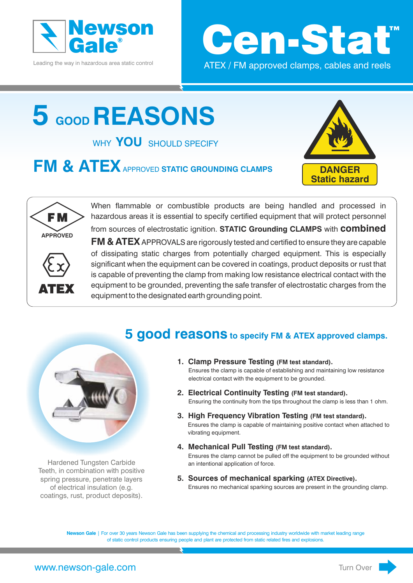

Leading the way in hazardous area static control



## **5 GOOD REASONS**

WHY **YOU** SHOULD SPECIFY

**FM & ATEX APPROVED STATIC GROUNDING CLAMPS** 





When flammable or combustible products are being handled and processed in hazardous areas it is essential to specify certified equipment that will protect personnel

ATEX

from sources of electrostatic ignition. **STATIC Grounding CLAMPS** with **combined FM & ATEX** APPROVALS are rigorously tested and certified to ensure they are capable of dissipating static charges from potentially charged equipment. This is especially significant when the equipment can be covered in coatings, product deposits or rust that is capable of preventing the clamp from making low resistance electrical contact with the equipment to be grounded, preventing the safe transfer of electrostatic charges from the equipment to the designated earth grounding point.

## **5 good reasons to specify FM & ATEX approved clamps.**



Hardened Tungsten Carbide Teeth, in combination with positive spring pressure, penetrate layers of electrical insulation (e.g. coatings, rust, product deposits).

- **1. Clamp Pressure Testing (FM test standard).** Ensures the clamp is capable of establishing and maintaining low resistance electrical contact with the equipment to be grounded.
- **2. Electrical Continuity Testing (FM test standard).** Ensuring the continuity from the tips throughout the clamp is less than 1 ohm.
- **3. High Frequency Vibration Testing (FM test standard).** Ensures the clamp is capable of maintaining positive contact when attached to vibrating equipment.
- **4. Mechanical Pull Testing (FM test standard).** Ensures the clamp cannot be pulled off the equipment to be grounded without an intentional application of force.
- **5. Sources of mechanical sparking (ATEX Directive).** Ensures no mechanical sparking sources are present in the grounding clamp.

**Newson Gale** | For over 30 years Newson Gale has been supplying the chemical and processing industry worldwide with market leading range of static control products ensuring people and plant are protected from static related fires and explosions.